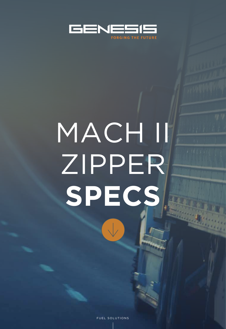

# MACHII ZIPPER SPECS

 $\sqrt{2}$ 

FUEL SOLUTIONS